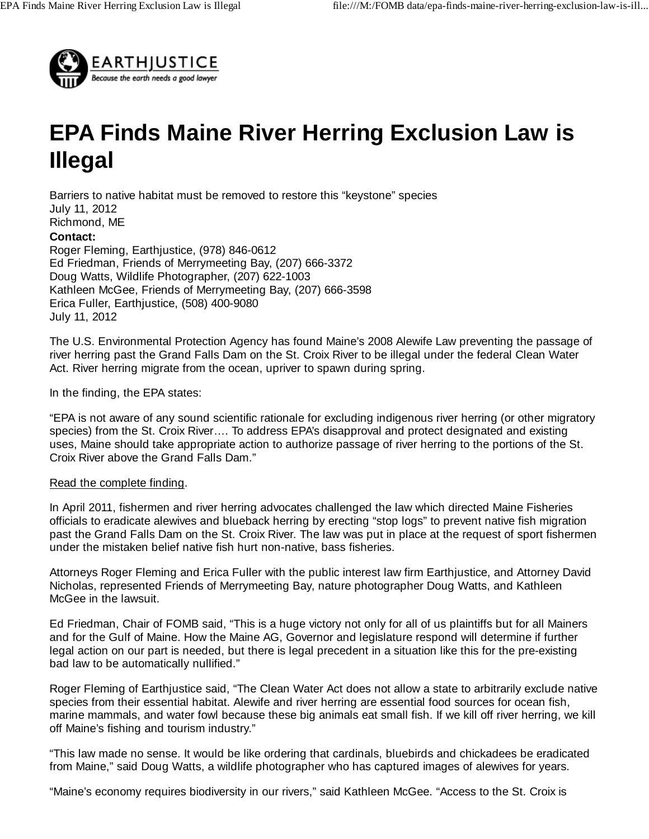

## **EPA Finds Maine River Herring Exclusion Law is Illegal**

Barriers to native habitat must be removed to restore this "keystone" species July 11, 2012 Richmond, ME **Contact:**  Roger Fleming, Earthjustice, (978) 846-0612 Ed Friedman, Friends of Merrymeeting Bay, (207) 666-3372 Doug Watts, Wildlife Photographer, (207) 622-1003 Kathleen McGee, Friends of Merrymeeting Bay, (207) 666-3598 Erica Fuller, Earthjustice, (508) 400-9080 July 11, 2012

The U.S. Environmental Protection Agency has found Maine's 2008 Alewife Law preventing the passage of river herring past the Grand Falls Dam on the St. Croix River to be illegal under the federal Clean Water Act. River herring migrate from the ocean, upriver to spawn during spring.

In the finding, the EPA states:

"EPA is not aware of any sound scientific rationale for excluding indigenous river herring (or other migratory species) from the St. Croix River…. To address EPA's disapproval and protect designated and existing uses, Maine should take appropriate action to authorize passage of river herring to the portions of the St. Croix River above the Grand Falls Dam."

## Read the complete finding.

In April 2011, fishermen and river herring advocates challenged the law which directed Maine Fisheries officials to eradicate alewives and blueback herring by erecting "stop logs" to prevent native fish migration past the Grand Falls Dam on the St. Croix River. The law was put in place at the request of sport fishermen under the mistaken belief native fish hurt non-native, bass fisheries.

Attorneys Roger Fleming and Erica Fuller with the public interest law firm Earthjustice, and Attorney David Nicholas, represented Friends of Merrymeeting Bay, nature photographer Doug Watts, and Kathleen McGee in the lawsuit.

Ed Friedman, Chair of FOMB said, "This is a huge victory not only for all of us plaintiffs but for all Mainers and for the Gulf of Maine. How the Maine AG, Governor and legislature respond will determine if further legal action on our part is needed, but there is legal precedent in a situation like this for the pre-existing bad law to be automatically nullified."

Roger Fleming of Earthjustice said, "The Clean Water Act does not allow a state to arbitrarily exclude native species from their essential habitat. Alewife and river herring are essential food sources for ocean fish, marine mammals, and water fowl because these big animals eat small fish. If we kill off river herring, we kill off Maine's fishing and tourism industry."

"This law made no sense. It would be like ordering that cardinals, bluebirds and chickadees be eradicated from Maine," said Doug Watts, a wildlife photographer who has captured images of alewives for years.

"Maine's economy requires biodiversity in our rivers," said Kathleen McGee. "Access to the St. Croix is